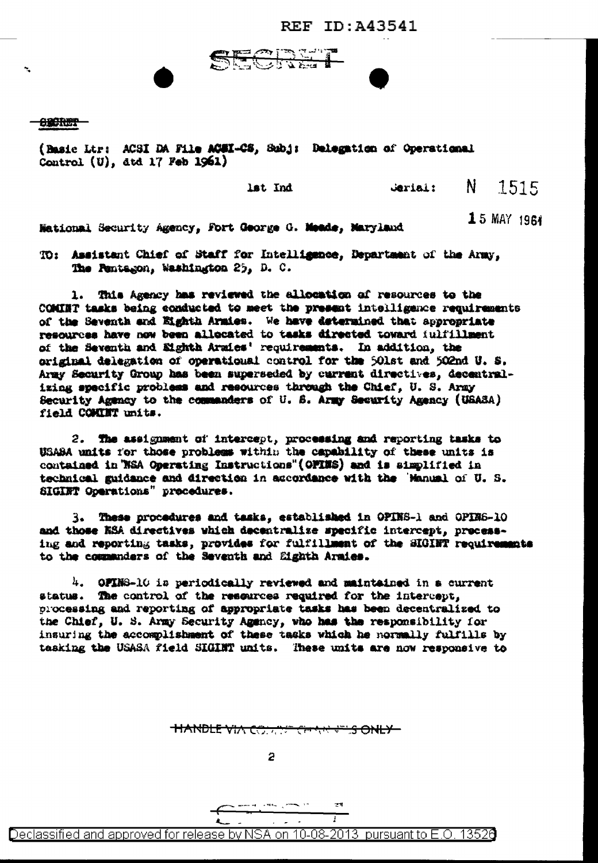**REF ID: A43541** 

**Bar** 

## <del>ororum -</del>

(Basic Ltr: ACSI DA File ACSI-CS, Subj: Delegation of Operational Control  $(U)$ , dtd 17 Feb 1961)

lst Ind

N. 1515 Jeriai:

Mational Security Agency, Fort George G. Meade, Maryland

15 MAY 1964

TO: Assistent Chief of Staff for Intelligence, Department of the Army, The Pentagon, Washington 25, D. C.

1. This Agency has reviewed the allocation of resources to the COMINT tasks being conducted to meet the present intelligence requirements of the Seventh and Eighth Armies. We have determined that appropriate resources have now been allocated to tasks directed toward fulfillment of the Seventh and Eighth Armies' requirements. In addition, the original delegation of operational control for the 501st and 502nd U.S. Army Security Group has been superseded by current directives, decentralizing specific problems and resources through the Chief, U. S. Army Security Agency to the commanders of U.S. Army Security Agency (USASA) field COMINT units.

2. The assignment of intercept, processing and reporting tasks to USASA units for those problems within the capability of these units is contained in WSA Operating Instructions"(OFINS) and is simplified in technical guidance and direction in accordance with the 'Manual of U.S. SIGIET Operations" procedures.

3. These procedures and tasks, established in OPINS-1 and OPINS-10 and those KSA directives which decentralize specific intercept, processing and reporting tasks, provides for fulfillment of the SIGINT requirements to the commanders of the Seventh and Eighth Araies.

4. OFING-10 is periodically reviewed and maintained in a current status. The control of the resources required for the intercept, processing and reporting of appropriate tasks has been decentralized to the Chief, U. S. Army Security Agency, who has the responsibility for insuring the accomplishment of these tasks which he normally fulfills by tasking the USASA field SIGINT units. These units are now responsive to

**HANDLE VIA COMPLETE CHANNELS ONLY-**

2

ा

Declassified and approved for release by NSA on 10-08-2013 pursuant to E.O. 13526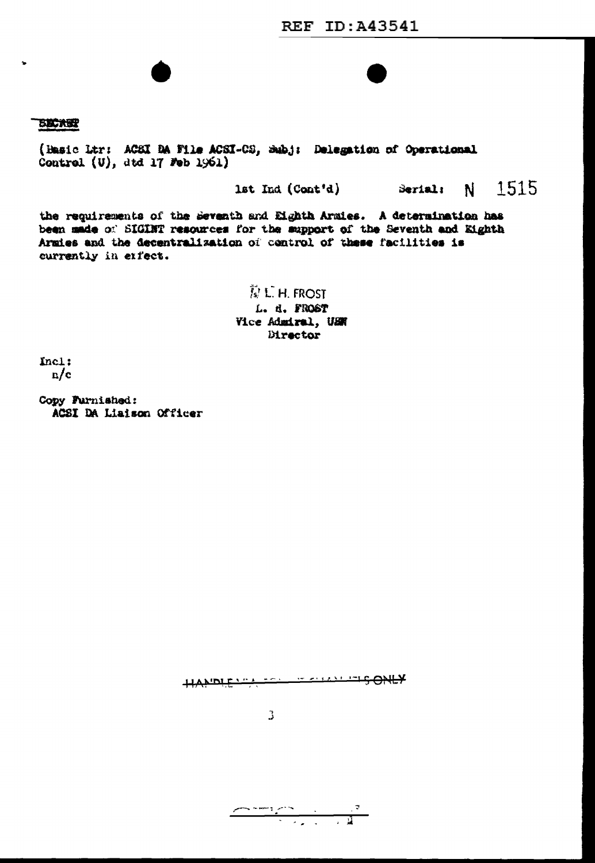## **BICKER**

(Hasic Ltr: ACSI BA File ACSI-CS, Subj: Delegation of Operational Control (U), dtd 17 Feb 1961)

> N 1515 lst Ind (Cont'd) Serial:

the requirements of the Seventh and Eighth Armies. A determination has been made of SIGINT resources for the support of the Seventh and Eighth Armies and the decentralization of control of these facilities is currently in erfect.

> 意じH.FROST L. d. FROST Vice Admiral, USN Director

Incl:  $n/c$ 

Copy Furnished: ACSI DA Liaison Officer

HANDIFULLER TERRITISONLY

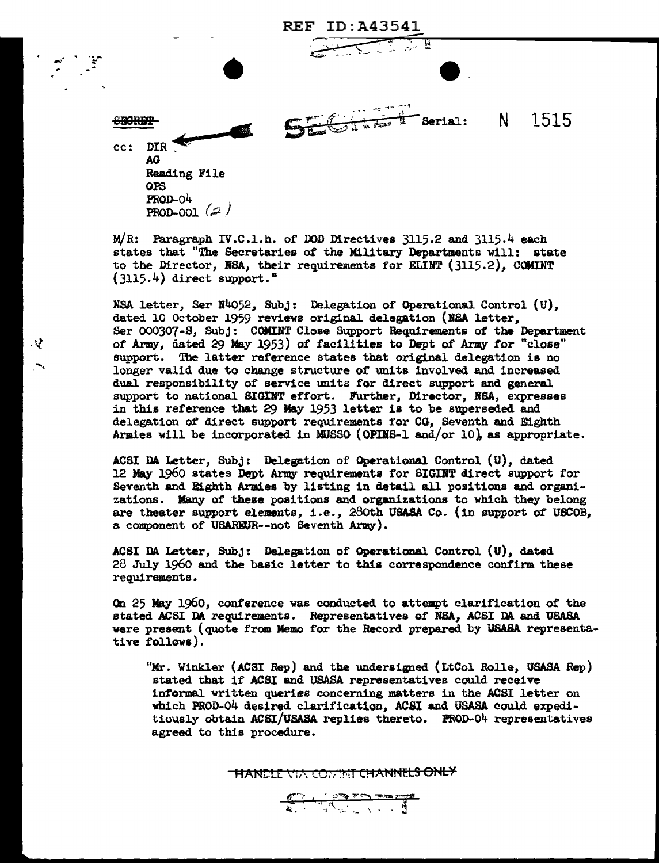

M/R: Paragraph IV.C.l.h. of DOD Directives 3115.2 and 3115.4 each states that "The Secretaries of the Military Departments will: state to the Director, NSA, their requirements for ELINT (3115.2), COMINT  $(3115.4)$  direct support.<sup>"</sup>

NSA letter, Ser N4o52, Subj: Delegation of Operational. Control {U), dated 10 October 1959 reviews original delegation (NSA letter, Ser 000307-S, Subj: COMINT Close Support Requirements of the Department of Army, dated 29 May 1953) of facilities to Dept of Army for "close" support. The latter reference states that original delegation is no longer valid due to change structure of units involved and increased dual responsibility of service units for direct support and general support to national SIGINT effort. Further, Director, BSA, expresses in this reference tbat 29 May 1953 letter is to be superseded and delegation of direct support requirements for CG, Seventh and Eighth Armies will be incorporated in MUSSO (OPINS-1 and/or 10), as appropriate.

ي.

ACSI DA. Letter, Subj: Delegation of Operational Control (U), dated 12 May 1960 states Dept Army requirements for SIGINT direct support for Seventh and Eighth Armies by listing in detail all positions and organizations. Many of these positions and organizations to which they belong are theater support elements, i.e., 280th USASA Co. (in support of USCOB, a component of USARiUR--not Seventh Army).

ACSI DA Letter, Subj: Delegation of Operational Control  $(U)$ , dated 28 July 1960 and the basic letter to this correspondence confirm these requirements.

On 25 May 1960, conference was conducted to attempt clarification of the stated ACSI DA requirements. Representatives of NSA, ACSI DA and USASA were present (quote from Memo for the Record prepared by USASA representative follows).

"Mr. Winkler (ACSI Rep) and the undersigned (LtCol Rolle, USASA Rep) stated that if ACSI and USASA representatives could receive informal written queriss concerning matters in the ACSI letter on which PROD-04 desired clarification, ACSI and USASA could expeditiously obtain ACSI/USASA replies thereto. PROD-04 representatives agreed to this procedure.

**THANCLE VIA COMMIT CHANNELS ONLY**